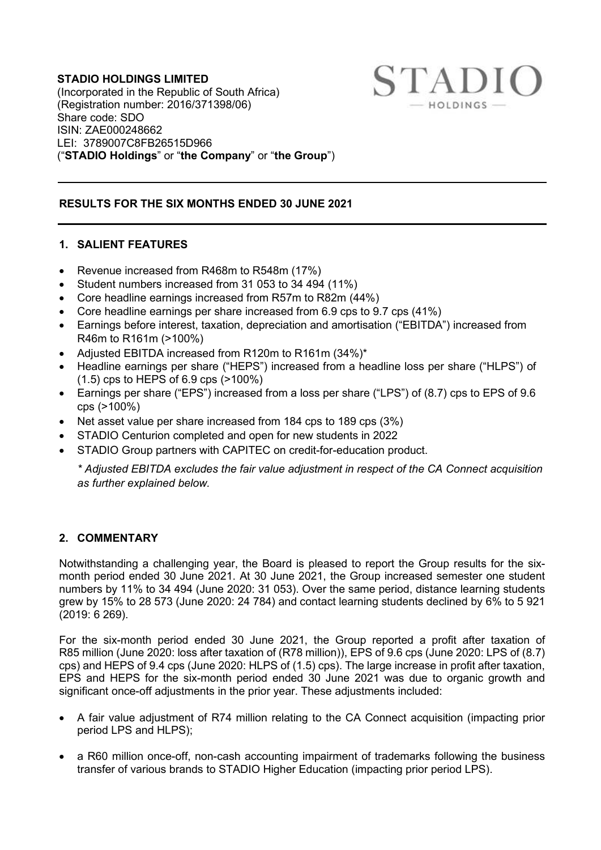#### **STADIO HOLDINGS LIMITED** (Incorporated in the Republic of South Africa) (Registration number: 2016/371398/06) Share code: SDO ISIN: ZAE000248662 LEI: 3789007C8FB26515D966 ("**STADIO Holdings**" or "**the Company**" or "**the Group**")

# **RESULTS FOR THE SIX MONTHS ENDED 30 JUNE 2021**

#### **1. SALIENT FEATURES**

- Revenue increased from R468m to R548m (17%)
- Student numbers increased from 31 053 to 34 494 (11%)
- Core headline earnings increased from R57m to R82m (44%)
- Core headline earnings per share increased from 6.9 cps to 9.7 cps (41%)
- Earnings before interest, taxation, depreciation and amortisation ("EBITDA") increased from R46m to R161m (>100%)

**STADIO** 

- Adjusted EBITDA increased from R120m to R161m (34%)\*
- Headline earnings per share ("HEPS") increased from a headline loss per share ("HLPS") of  $(1.5)$  cps to HEPS of 6.9 cps  $(>100\%)$
- Earnings per share ("EPS") increased from a loss per share ("LPS") of (8.7) cps to EPS of 9.6 cps (>100%)
- Net asset value per share increased from 184 cps to 189 cps (3%)
- STADIO Centurion completed and open for new students in 2022
- STADIO Group partners with CAPITEC on credit-for-education product.

*\* Adjusted EBITDA excludes the fair value adjustment in respect of the CA Connect acquisition as further explained below.*

## **2. COMMENTARY**

Notwithstanding a challenging year, the Board is pleased to report the Group results for the sixmonth period ended 30 June 2021. At 30 June 2021, the Group increased semester one student numbers by 11% to 34 494 (June 2020: 31 053). Over the same period, distance learning students grew by 15% to 28 573 (June 2020: 24 784) and contact learning students declined by 6% to 5 921 (2019: 6 269).

For the six-month period ended 30 June 2021, the Group reported a profit after taxation of R85 million (June 2020: loss after taxation of (R78 million)), EPS of 9.6 cps (June 2020: LPS of (8.7) cps) and HEPS of 9.4 cps (June 2020: HLPS of (1.5) cps). The large increase in profit after taxation, EPS and HEPS for the six-month period ended 30 June 2021 was due to organic growth and significant once-off adjustments in the prior year. These adjustments included:

- A fair value adjustment of R74 million relating to the CA Connect acquisition (impacting prior period LPS and HLPS);
- a R60 million once-off, non-cash accounting impairment of trademarks following the business transfer of various brands to STADIO Higher Education (impacting prior period LPS).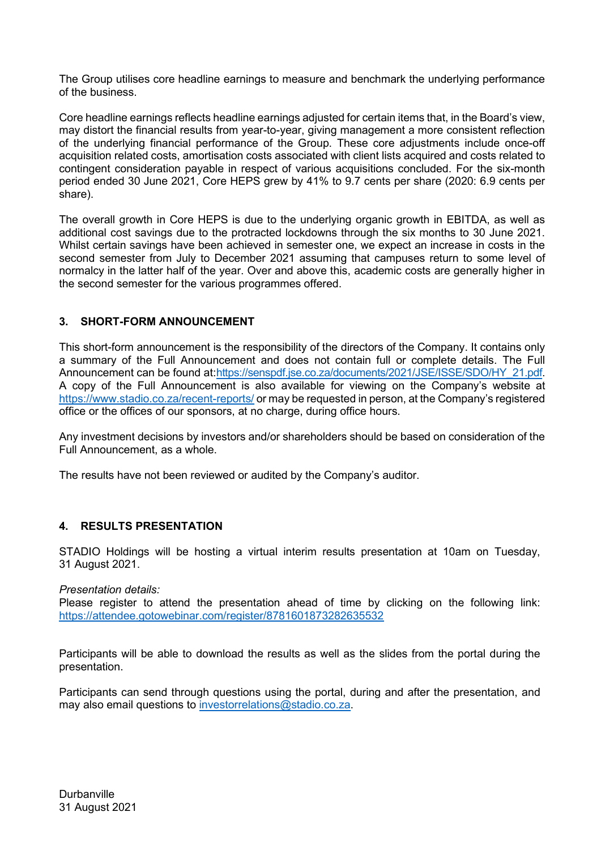The Group utilises core headline earnings to measure and benchmark the underlying performance of the business.

Core headline earnings reflects headline earnings adjusted for certain items that, in the Board's view, may distort the financial results from year-to-year, giving management a more consistent reflection of the underlying financial performance of the Group. These core adjustments include once-off acquisition related costs, amortisation costs associated with client lists acquired and costs related to contingent consideration payable in respect of various acquisitions concluded. For the six-month period ended 30 June 2021, Core HEPS grew by 41% to 9.7 cents per share (2020: 6.9 cents per share).

The overall growth in Core HEPS is due to the underlying organic growth in EBITDA, as well as additional cost savings due to the protracted lockdowns through the six months to 30 June 2021. Whilst certain savings have been achieved in semester one, we expect an increase in costs in the second semester from July to December 2021 assuming that campuses return to some level of normalcy in the latter half of the year. Over and above this, academic costs are generally higher in the second semester for the various programmes offered.

## **3. SHORT-FORM ANNOUNCEMENT**

This short-form announcement is the responsibility of the directors of the Company. It contains only a summary of the Full Announcement and does not contain full or complete details. The Full Announcement can be found at[:https://senspdf.jse.co.za/documents/2021/JSE/ISSE/SDO/HY\\_21.pdf.](https://senspdf.jse.co.za/documents/2021/JSE/ISSE/SDO/HY_21.pdf) A copy of the Full Announcement is also available for viewing on the Company's website at <https://www.stadio.co.za/recent-reports/> or may be requested in person, at the Company's registered office or the offices of our sponsors, at no charge, during office hours.

Any investment decisions by investors and/or shareholders should be based on consideration of the Full Announcement, as a whole.

The results have not been reviewed or audited by the Company's auditor.

## **4. RESULTS PRESENTATION**

STADIO Holdings will be hosting a virtual interim results presentation at 10am on Tuesday, 31 August 2021.

*Presentation details:* 

Please register to attend the presentation ahead of time by clicking on the following link: <https://attendee.gotowebinar.com/register/8781601873282635532>

Participants will be able to download the results as well as the slides from the portal during the presentation.

Participants can send through questions using the portal, during and after the presentation, and may also email questions to [investorrelations@stadio.co.za.](mailto:investorrelations@stadio.co.za)